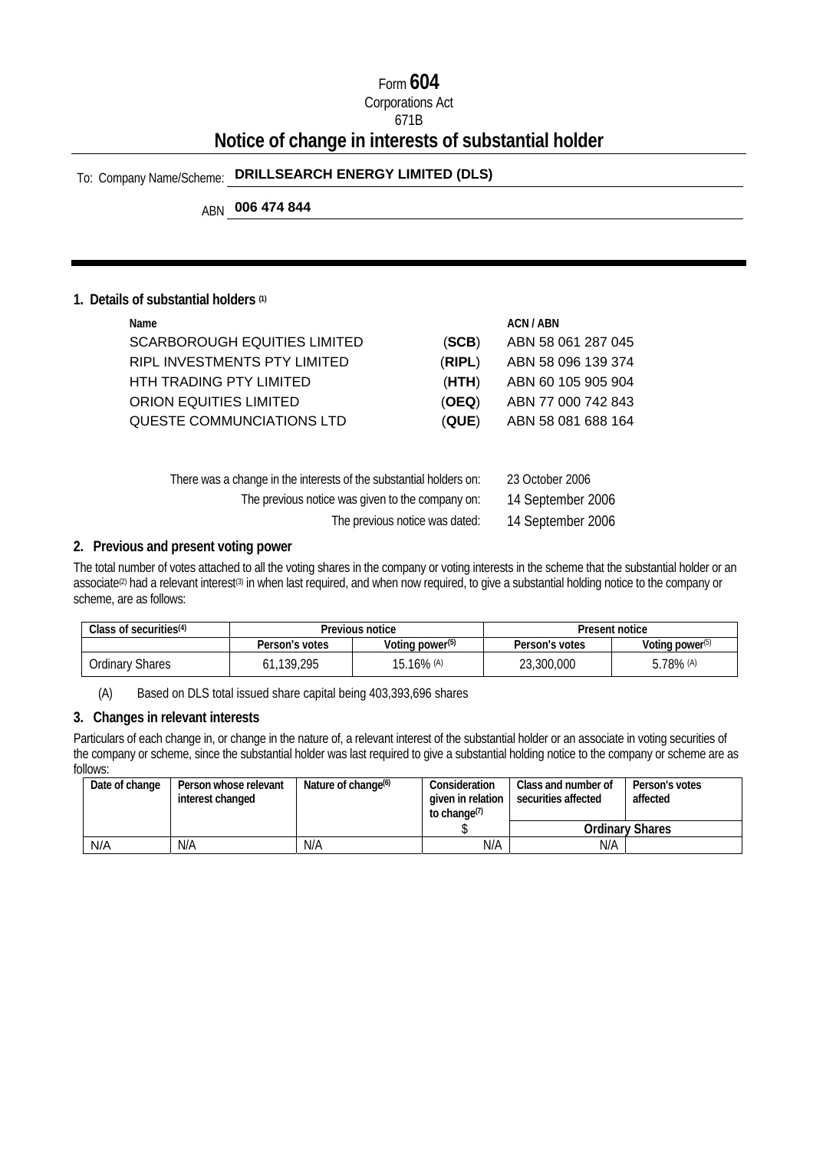### Form **604**

# Corporations Act

### 671B

# **Notice of change in interests of substantial holder**

# To: Company Name/Scheme: **DRILLSEARCH ENERGY LIMITED (DLS)**

# ABN **006 474 844**

#### **1. Details of substantial holders (1)**

| Name                                                               |        | ACN / ABN          |
|--------------------------------------------------------------------|--------|--------------------|
| <b>SCARBOROUGH EQUITIES LIMITED</b>                                | (SCB)  | ABN 58 061 287 045 |
| RIPL INVESTMENTS PTY LIMITED                                       | (RIPL) | ABN 58 096 139 374 |
| <b>HTH TRADING PTY LIMITED</b>                                     | (HTH)  | ABN 60 105 905 904 |
| ORION EQUITIES LIMITED                                             | (OEQ)  | ABN 77 000 742 843 |
| QUESTE COMMUNCIATIONS LTD                                          | (QUE)  | ABN 58 081 688 164 |
|                                                                    |        |                    |
|                                                                    |        |                    |
| There was a change in the interests of the substantial holders on: |        | 23 October 2006    |
|                                                                    |        |                    |

| The previous notice was given to the company on: |  |  |  | 14 September 2006 |  |
|--------------------------------------------------|--|--|--|-------------------|--|
|                                                  |  |  |  |                   |  |

The previous notice was dated: 14 September 2006

#### **2. Previous and present voting power**

The total number of votes attached to all the voting shares in the company or voting interests in the scheme that the substantial holder or an associate<sup>(2)</sup> had a relevant interest<sup>(3)</sup> in when last required, and when now required, to give a substantial holding notice to the company or scheme, are as follows:

| Class of securities $(4)$ |                | Previous notice             | Present notice |                    |  |
|---------------------------|----------------|-----------------------------|----------------|--------------------|--|
|                           | Person's votes | Voting power <sup>(5)</sup> | Person's votes | Voting power $(5)$ |  |
| Ordinary Shares           | 61.139.295     | 15.16% (A)                  | 23,300,000     | 78% (A)            |  |

(A) Based on DLS total issued share capital being 403,393,696 shares

#### **3. Changes in relevant interests**

Particulars of each change in, or change in the nature of, a relevant interest of the substantial holder or an associate in voting securities of the company or scheme, since the substantial holder was last required to give a substantial holding notice to the company or scheme are as follows:

| Date of change | Person whose relevant<br>interest changed | Nature of change <sup>(6)</sup> | Consideration<br>given in relation<br>to change <sup>(7)</sup> | Class and number of<br>securities affected | Person's votes<br>affected |
|----------------|-------------------------------------------|---------------------------------|----------------------------------------------------------------|--------------------------------------------|----------------------------|
|                |                                           |                                 |                                                                |                                            | <b>Ordinary Shares</b>     |
| N/A            | N/A                                       | N/A                             | N/A                                                            | N/A                                        |                            |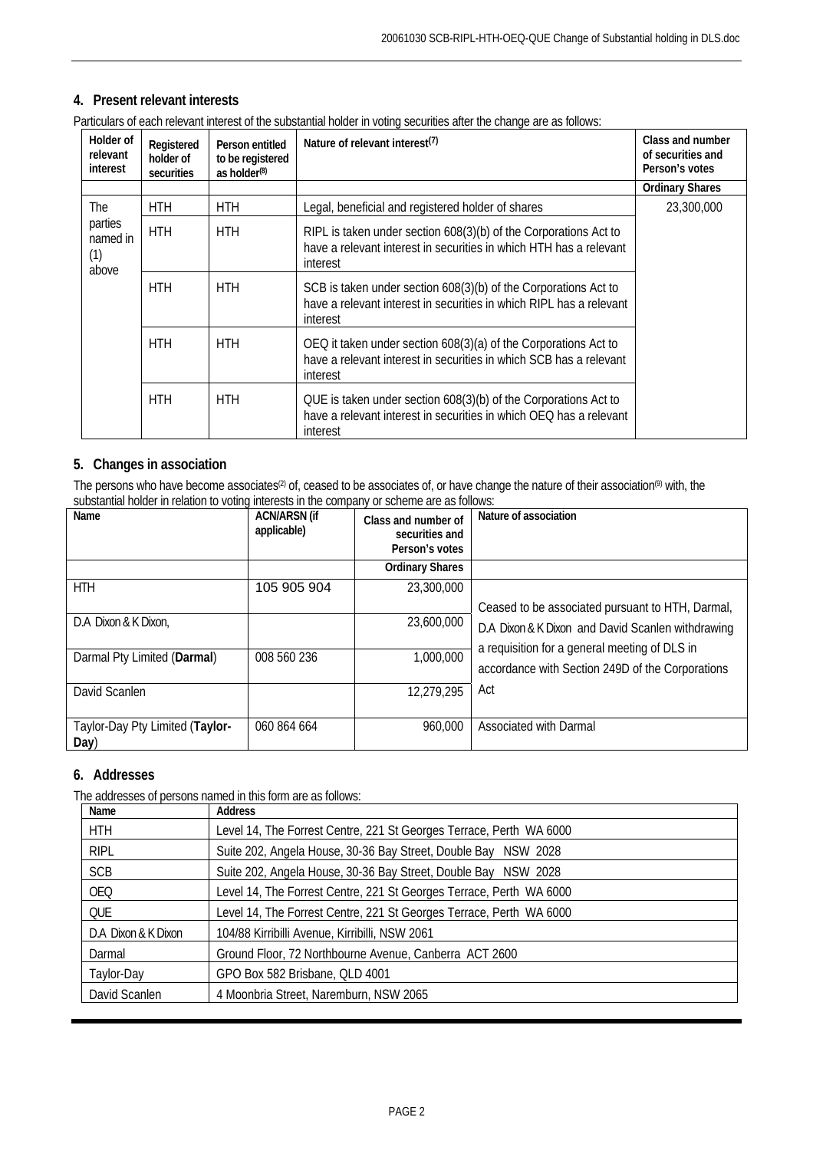### **4. Present relevant interests**

| Particulars of each relevant interest of the substantial holder in voting securities after the change are as follows: |  |  |
|-----------------------------------------------------------------------------------------------------------------------|--|--|

| Holder of<br>relevant<br>interest   | Registered<br>holder of<br>securities | Person entitled<br>to be registered<br>as holder $(8)$ | Nature of relevant interest <sup>(7)</sup>                                                                                                         | Class and number<br>of securities and<br>Person's votes |
|-------------------------------------|---------------------------------------|--------------------------------------------------------|----------------------------------------------------------------------------------------------------------------------------------------------------|---------------------------------------------------------|
|                                     |                                       |                                                        |                                                                                                                                                    | <b>Ordinary Shares</b>                                  |
| The                                 | <b>HTH</b>                            | HTH                                                    | Legal, beneficial and registered holder of shares                                                                                                  | 23,300,000                                              |
| parties<br>named in<br>(1)<br>above | <b>HTH</b>                            | <b>HTH</b>                                             | RIPL is taken under section 608(3)(b) of the Corporations Act to<br>have a relevant interest in securities in which HTH has a relevant<br>interest |                                                         |
|                                     | <b>HTH</b>                            | <b>HTH</b>                                             | SCB is taken under section 608(3)(b) of the Corporations Act to<br>have a relevant interest in securities in which RIPL has a relevant<br>interest |                                                         |
|                                     | <b>HTH</b>                            | <b>HTH</b>                                             | OEQ it taken under section 608(3)(a) of the Corporations Act to<br>have a relevant interest in securities in which SCB has a relevant<br>interest  |                                                         |
|                                     | <b>HTH</b>                            | <b>HTH</b>                                             | QUE is taken under section 608(3)(b) of the Corporations Act to<br>have a relevant interest in securities in which OEQ has a relevant<br>interest  |                                                         |

#### **5. Changes in association**

The persons who have become associates<sup>(2)</sup> of, ceased to be associates of, or have change the nature of their association<sup>(9)</sup> with, the substantial holder in relation to voting interests in the company or scheme are as follows:

| Name                                    | <b>ACN/ARSN (if</b><br>applicable) | Class and number of<br>securities and<br>Person's votes | Nature of association                                                                             |
|-----------------------------------------|------------------------------------|---------------------------------------------------------|---------------------------------------------------------------------------------------------------|
|                                         |                                    | <b>Ordinary Shares</b>                                  |                                                                                                   |
| <b>HTH</b>                              | 105 905 904                        | 23,300,000                                              |                                                                                                   |
|                                         |                                    |                                                         | Ceased to be associated pursuant to HTH, Darmal,                                                  |
| D.A Dixon & K Dixon,                    |                                    | 23,600,000                                              | D.A Dixon & K Dixon and David Scanlen withdrawing                                                 |
| Darmal Pty Limited (Darmal)             | 008 560 236                        | 1,000,000                                               | a requisition for a general meeting of DLS in<br>accordance with Section 249D of the Corporations |
| David Scanlen                           |                                    | 12,279,295                                              | Act                                                                                               |
| Taylor-Day Pty Limited (Taylor-<br>Day) | 060 864 664                        | 960,000                                                 | Associated with Darmal                                                                            |

#### **6. Addresses**

The addresses of persons named in this form are as follows:

| Name                | Address                                                             |
|---------------------|---------------------------------------------------------------------|
| <b>HTH</b>          | Level 14, The Forrest Centre, 221 St Georges Terrace, Perth WA 6000 |
| <b>RIPL</b>         | Suite 202, Angela House, 30-36 Bay Street, Double Bay NSW 2028      |
| <b>SCB</b>          | Suite 202, Angela House, 30-36 Bay Street, Double Bay NSW 2028      |
| <b>OEQ</b>          | Level 14, The Forrest Centre, 221 St Georges Terrace, Perth WA 6000 |
| <b>QUE</b>          | Level 14, The Forrest Centre, 221 St Georges Terrace, Perth WA 6000 |
| D.A Dixon & K Dixon | 104/88 Kirribilli Avenue, Kirribilli, NSW 2061                      |
| Darmal              | Ground Floor, 72 Northbourne Avenue, Canberra ACT 2600              |
| Taylor-Day          | GPO Box 582 Brisbane, QLD 4001                                      |
| David Scanlen       | 4 Moonbria Street, Naremburn, NSW 2065                              |